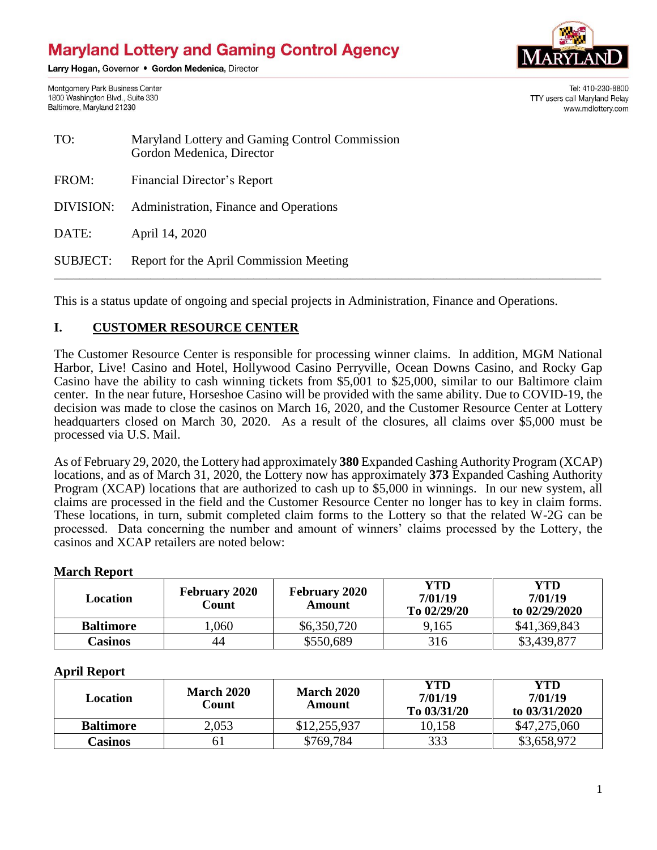# **Maryland Lottery and Gaming Control Agency**

Larry Hogan, Governor . Gordon Medenica, Director



TTY users call Maryland Relay

Tel: 410-230-8800

www.mdlottery.com

Montgomery Park Business Center 1800 Washington Blvd., Suite 330 Baltimore, Maryland 21230

| TO:       | Maryland Lottery and Gaming Control Commission<br>Gordon Medenica, Director |
|-----------|-----------------------------------------------------------------------------|
| FROM:     | Financial Director's Report                                                 |
| DIVISION: | Administration, Finance and Operations                                      |
| DATE:     | April 14, 2020                                                              |

SUBJECT: Report for the April Commission Meeting \_\_\_\_\_\_\_\_\_\_\_\_\_\_\_\_\_\_\_\_\_\_\_\_\_\_\_\_\_\_\_\_\_\_\_\_\_\_\_\_\_\_\_\_\_\_\_\_\_\_\_\_\_\_\_\_\_\_\_\_\_\_\_\_\_\_\_\_\_\_\_\_\_\_\_\_\_\_\_\_\_\_\_\_\_

This is a status update of ongoing and special projects in Administration, Finance and Operations.

## **I. CUSTOMER RESOURCE CENTER**

The Customer Resource Center is responsible for processing winner claims. In addition, MGM National Harbor, Live! Casino and Hotel, Hollywood Casino Perryville, Ocean Downs Casino, and Rocky Gap Casino have the ability to cash winning tickets from \$5,001 to \$25,000, similar to our Baltimore claim center. In the near future, Horseshoe Casino will be provided with the same ability. Due to COVID-19, the decision was made to close the casinos on March 16, 2020, and the Customer Resource Center at Lottery headquarters closed on March 30, 2020. As a result of the closures, all claims over \$5,000 must be processed via U.S. Mail.

As of February 29, 2020, the Lottery had approximately **380** Expanded Cashing Authority Program (XCAP) locations, and as of March 31, 2020, the Lottery now has approximately **373** Expanded Cashing Authority Program (XCAP) locations that are authorized to cash up to \$5,000 in winnings. In our new system, all claims are processed in the field and the Customer Resource Center no longer has to key in claim forms. These locations, in turn, submit completed claim forms to the Lottery so that the related W-2G can be processed. Data concerning the number and amount of winners' claims processed by the Lottery, the casinos and XCAP retailers are noted below:

#### **March Report**

| <b>Location</b>  | <b>February 2020</b><br>Count | <b>February 2020</b><br>Amount | YTD<br>7/01/19<br>To $02/29/20$ | YTD<br>7/01/19<br>to $02/29/2020$ |
|------------------|-------------------------------|--------------------------------|---------------------------------|-----------------------------------|
| <b>Baltimore</b> | .060                          | \$6,350,720                    | 9.165                           | \$41,369,843                      |
| Casinos          | 44                            | \$550,689                      | 316                             | \$3,439,877                       |

#### **April Report**

| Location         | <b>March 2020</b><br>Count | <b>March 2020</b><br>Amount | YTD<br>7/01/19<br>To 03/31/20 | YTD<br>7/01/19<br>to 03/31/2020 |
|------------------|----------------------------|-----------------------------|-------------------------------|---------------------------------|
| <b>Baltimore</b> | 2,053                      | \$12,255,937                | 10.158                        | \$47,275,060                    |
| Casinos          | 61                         | \$769,784                   | 333                           | \$3,658,972                     |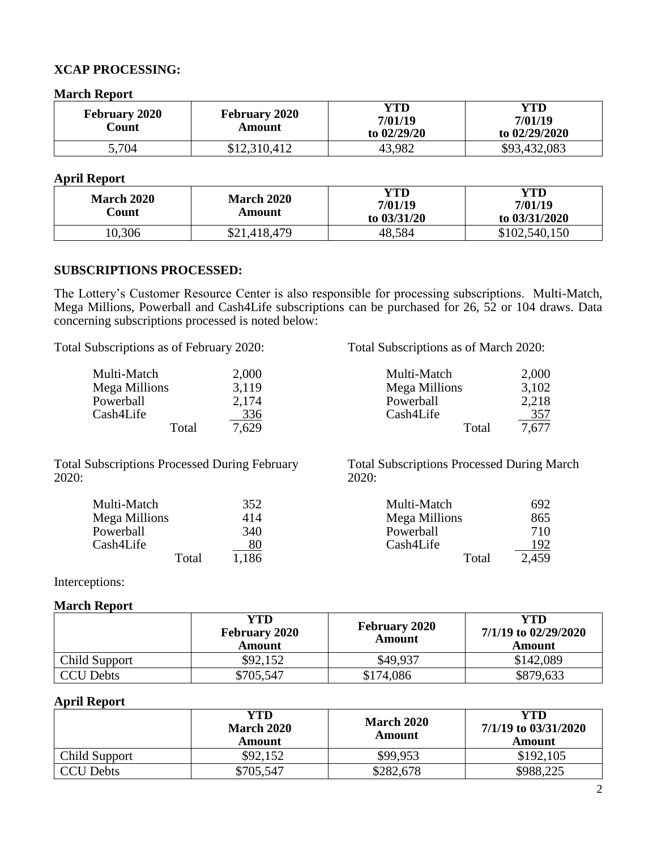#### **XCAP PROCESSING:**

**March Report**

| <b>February 2020</b><br>Count | <b>February 2020</b><br>Amount | YTD<br>7/01/19<br>to $02/29/20$ | YTD<br>7/01/19<br>to 02/29/2020 |
|-------------------------------|--------------------------------|---------------------------------|---------------------------------|
| 5,704                         | \$12,310,412                   | 43,982                          | \$93,432,083                    |

#### **April Report**

| <b>March 2020</b><br>Count | <b>March 2020</b><br>Amount | YTD<br>7/01/19<br>to $03/31/20$ | YTD<br>7/01/19<br>to 03/31/2020 |
|----------------------------|-----------------------------|---------------------------------|---------------------------------|
| 10,306                     | \$21,418,479                | 48,584                          | \$102,540,150                   |

#### **SUBSCRIPTIONS PROCESSED:**

The Lottery's Customer Resource Center is also responsible for processing subscriptions. Multi-Match, Mega Millions, Powerball and Cash4Life subscriptions can be purchased for 26, 52 or 104 draws. Data concerning subscriptions processed is noted below:

| Total Subscriptions as of February 2020: |            | Total Subscriptions as of March 2020: |            |  |
|------------------------------------------|------------|---------------------------------------|------------|--|
| Multi-Match                              | 2,000      | Multi-Match                           | 2,000      |  |
| Mega Millions                            | 3,119      | Mega Millions                         | 3,102      |  |
| Powerball                                | 2,174      | Powerball                             | 2,218      |  |
| Cash4Life                                | <u>336</u> | Cash4Life                             | <u>357</u> |  |
| Total                                    | 7.629      | Total                                 | 7,677      |  |

Total Subscriptions Processed During February 2020:

Total Subscriptions Processed During March 2020:

| Multi-Match   | 352       | Multi-Match   | 692   |
|---------------|-----------|---------------|-------|
| Mega Millions | 414       | Mega Millions | 865   |
| Powerball     | 340       | Powerball     | 710   |
| Cash4Life     | <u>80</u> | Cash4Life     | 192   |
| Total         | 1.186     | Total         | 2,459 |

Interceptions:

#### **March Report**

|                  | YTD<br><b>February 2020</b><br>Amount | <b>February 2020</b><br>Amount | YTD<br>7/1/19 to 02/29/2020<br><b>Amount</b> |
|------------------|---------------------------------------|--------------------------------|----------------------------------------------|
| Child Support    | \$92,152                              | \$49,937                       | \$142,089                                    |
| <b>CCU Debts</b> | \$705,547                             | \$174,086                      | \$879,633                                    |

#### **April Report**

|                  | YTD<br><b>March 2020</b><br><b>Amount</b> | <b>March 2020</b><br>Amount | YTD<br>7/1/19 to 03/31/2020<br><b>Amount</b> |
|------------------|-------------------------------------------|-----------------------------|----------------------------------------------|
| Child Support    | \$92,152                                  | \$99,953                    | \$192,105                                    |
| <b>CCU Debts</b> | \$705,547                                 | \$282,678                   | \$988,225                                    |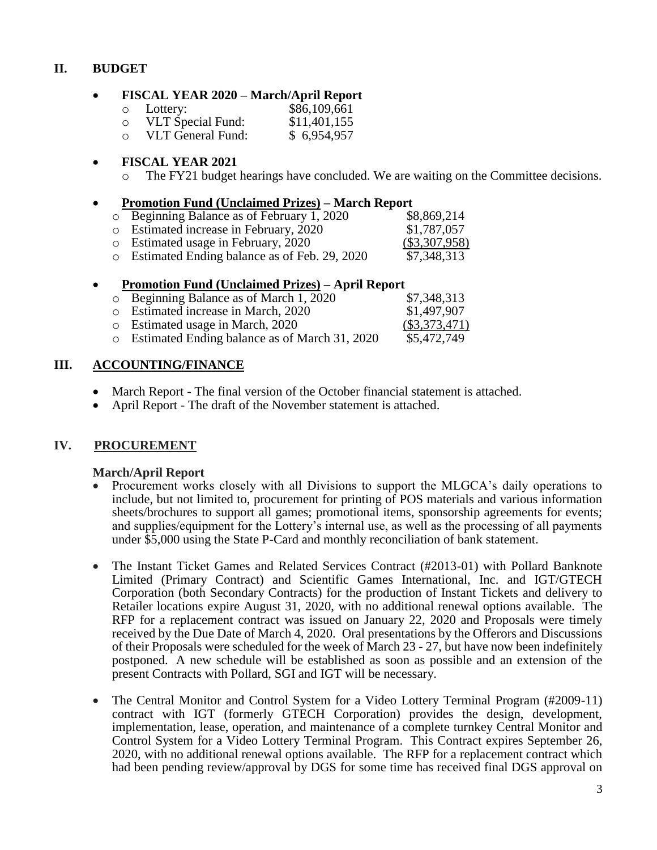## **II. BUDGET**

#### **FISCAL YEAR 2020 – March/April Report**

o Lottery: \$86,109,661 o VLT Special Fund: \$11,401,155<br>
o VLT General Fund: \$ 6,954,957  $\circ$  VLT General Fund:

#### **FISCAL YEAR 2021**

o The FY21 budget hearings have concluded. We are waiting on the Committee decisions.

#### **Promotion Fund (Unclaimed Prizes) – March Report**

- o Beginning Balance as of February 1, 2020 \$8,869,214
- o Estimated increase in February, 2020 \$1,787,057 o Estimated usage in February, 2020 (\$3,307,958)
- o Estimated Ending balance as of Feb. 29, 2020 \$7,348,313

#### **Promotion Fund (Unclaimed Prizes) – April Report**

| $\circ$ Beginning Balance as of March 1, 2020   | \$7,348,313     |
|-------------------------------------------------|-----------------|
| o Estimated increase in March, 2020             | \$1,497,907     |
| o Estimated usage in March, 2020                | $(\$3,373,471)$ |
| o Estimated Ending balance as of March 31, 2020 | \$5,472,749     |

### **III. ACCOUNTING/FINANCE**

- March Report The final version of the October financial statement is attached.
- April Report The draft of the November statement is attached.

## **IV. PROCUREMENT**

#### **March/April Report**

- Procurement works closely with all Divisions to support the MLGCA's daily operations to include, but not limited to, procurement for printing of POS materials and various information sheets/brochures to support all games; promotional items, sponsorship agreements for events; and supplies/equipment for the Lottery's internal use, as well as the processing of all payments under \$5,000 using the State P-Card and monthly reconciliation of bank statement.
- The Instant Ticket Games and Related Services Contract (#2013-01) with Pollard Banknote Limited (Primary Contract) and Scientific Games International, Inc. and IGT/GTECH Corporation (both Secondary Contracts) for the production of Instant Tickets and delivery to Retailer locations expire August 31, 2020, with no additional renewal options available. The RFP for a replacement contract was issued on January 22, 2020 and Proposals were timely received by the Due Date of March 4, 2020. Oral presentations by the Offerors and Discussions of their Proposals were scheduled for the week of March 23 - 27, but have now been indefinitely postponed. A new schedule will be established as soon as possible and an extension of the present Contracts with Pollard, SGI and IGT will be necessary.
- The Central Monitor and Control System for a Video Lottery Terminal Program (#2009-11) contract with IGT (formerly GTECH Corporation) provides the design, development, implementation, lease, operation, and maintenance of a complete turnkey Central Monitor and Control System for a Video Lottery Terminal Program. This Contract expires September 26, 2020, with no additional renewal options available. The RFP for a replacement contract which had been pending review/approval by DGS for some time has received final DGS approval on